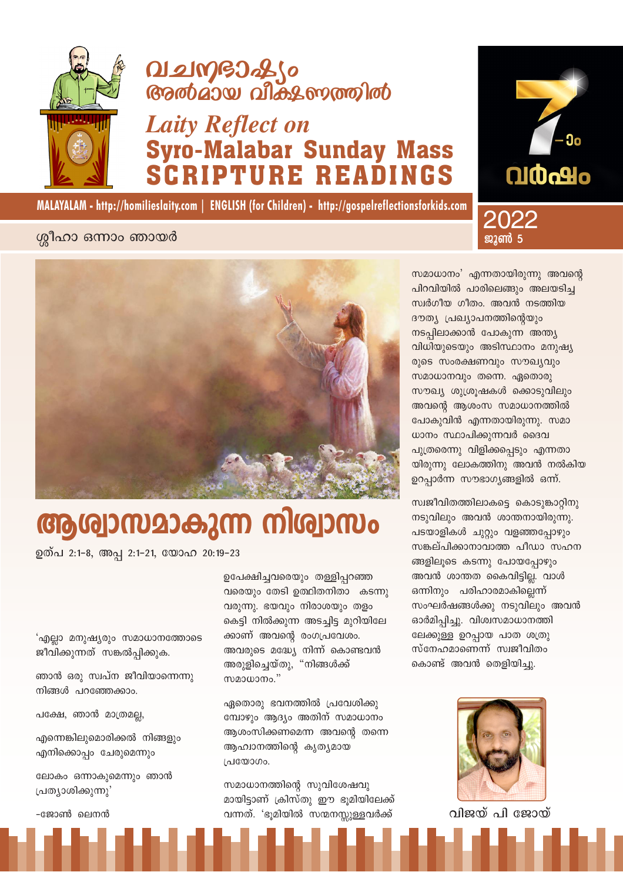

# **Q121MGJ266 Gradiaswall discovered into**

# **Laity Reflect on Syro-Malabar Sunday Mass PTURE READINGS**







# ആര്വാസമാകുന്ന നിശ്വാസം

ഉത്പ 2:1-8, അപ്പ 2:1-21, യോഹ 20:19-23

'എല്ലാ മനുഷ്യരും സമാധാനത്തോടെ ജീവിക്കുന്നത് സങ്കൽപ്പിക്കുക.

ഞാൻ ഒരു സ്വപ്ന ജീവിയാന്നെന്നു നിങ്ങൾ പറഞ്ഞേക്കാം.

പക്ഷേ, ഞാൻ മാത്രമല്ല,

എന്നെങ്കിലുമൊരിക്കൽ നിങ്ങളും എനിക്കൊപ്പം ചേരുമെന്നും

ലോകം ഒന്നാകുമെന്നും ഞാൻ പ്രത്യാശിക്കുന്നു'

-ജോൺ ലെനൻ

ഉപേക്ഷിച്ചവരെയും തള്ളിപ്പറഞ്ഞ വരെയും തേടി ഉത്ഥിതനിതാ കടന്നു വരുന്നു. ഭയവും നിരാശയും തളം കെട്ടി നിൽക്കുന്ന അടച്ചിട്ട മുറിയിലേ ക്കാണ് അവന്റെ രംഗപ്രവേശം. അവരുടെ മദ്ധ്യേ നിന്ന് കൊണ്ടവൻ അരുളിച്ചെയ്തു, "നിങ്ങൾക്ക് സമാധാനം."

ഏതൊരു ഭവനത്തിൽ പ്രവേശിക്കു മ്പോഴും ആദ്യം അതിന് സമാധാനം ആശംസിക്കണമെന്ന അവന്റെ തന്നെ ആഹ്വാനത്തിന്റെ കൃത്യമായ പ്രയോഗം.

സമാധാനത്തിന്റെ സുവിശേഷവു മായിട്ടാണ് ക്രിസ്തു ഈ ഭൂമിയിലേക്ക് വന്നത്. 'ഭൂമിയിൽ സന്മനസ്സുള്ളവർക്ക്

സമാധാനം' എന്നതായിരുന്നു അവന്റെ പിറവിയിൽ പാരിലെങ്ങും അലയടിച്ച സ്വർഗീയ ഗീതം. അവൻ നടത്തിയ ദൗത്യ പ്രഖ്യാപനത്തിന്റെയും നടപ്പിലാക്കാൻ പോകുന്ന അന്ത്യ വിധിയുടെയും അടിസ്ഥാനം മനുഷ്യ രുടെ സംരക്ഷണവും സൗഖ്യവും സമാധാനവും തന്നെ. ഏതൊരു സൗഖ്യ ശുശ്രൂഷകൾ ക്കൊടുവിലും അവന്റെ ആശംസ സമാധാനത്തിൽ പോകുവിൻ എന്നതായിരുന്നു. സമാ ധാനം സ്ഥാപിക്കുന്നവർ ദൈവ പുത്രരെന്നു വിളിക്കപ്പെടും എന്നതാ യിരുന്നു ലോകത്തിനു അവൻ നൽകിയ ഉറപ്പാർന്ന സൗഭാഗ്യങ്ങളിൽ ഒന്ന്.

2022

ജാൺ 5

സ്വജീവിതത്തിലാകട്ടെ കൊടുങ്കാറ്റിനു നടുവിലും അവൻ ശാന്തനായിരുന്നു. പടയാളികൾ ചുറ്റും വളഞ്ഞപ്പോഴും സങ്കല്പിക്കാനാവാത്ത പീഡാ സഹന ങ്ങളിലൂടെ കടന്നു പോയപ്പോഴും അവൻ ശാന്തത കൈവിട്ടില്ല. വാൾ ഒന്നിനും പരിഹാരമാകില്ലെന്ന് സംഘർഷങ്ങൾക്കു നടുവിലും അവൻ ഓർമിപ്പിച്ചു. വിശ്വസമാധാനത്തി ലേക്കുള്ള ഉറപ്പായ പാത ശത്രു സ്നേഹമാണെന്ന് സ്വജീവിതം കൊണ്ട് അവൻ തെളിയിച്ചു.



വിജയ് പി ജോയ്

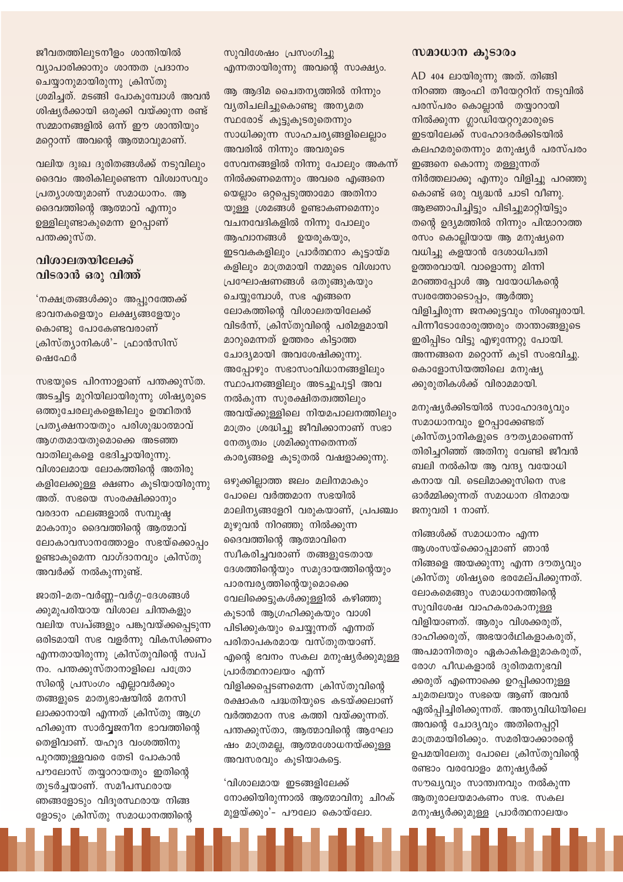ജീവതത്തിലുടനീളം ശാന്തിയിൽ വ്യാപാരിക്കാനും ശാന്തത പ്രദാനം ചെയ്യാനുമായിരുന്നു ക്രിസ്തു ശ്രമിച്ചത്. മടങ്ങി പോകുമ്പോൾ അവൻ ശിഷ്യർക്കായി ഒരുക്കി വയ്ക്കുന്ന രണ്ട് സമ്മാനങ്ങളിൽ ഒന്ന് ഈ ശാന്തിയും മറ്റൊന്ന് അവന്റെ ആത്മാവുമാണ്.

വലിയ ദുഃഖ ദുരിതങ്ങൾക്ക് നടുവിലും ദൈവം അരികിലുണ്ടെന്ന വിശ്വാസവും പ്രത്യാശയുമാണ് സമാധാനം. ആ ദൈവത്തിന്റെ ആത്മാവ് എന്നും ഉള്ളിലുണ്ടാകുമെന്ന ഉറപ്പാണ് പന്തക്കുസ്ത.

## വിശാലതയിലേക്ക് വിടരാൻ ഒരു വിത്ത്

'നക്ഷത്രങ്ങൾക്കും അപ്പുറത്തേക്ക് ഭാവനകളെയും ലക്ഷ്യങ്ങളേയും കൊണ്ടു പോകേണ്ടവരാണ് ക്രിസ്ത്യാനികൾ'- ഫ്രാൻസിസ് ഷെഫേർ

സഭയുടെ പിറന്നാളാണ് പന്തക്കുസ്ത. അടച്ചിട്ട മുറിയിലായിരുന്നു ശിഷ്യരുടെ ഒത്തുചേരലുകളെങ്കിലും ഉത്ഥിതൻ പ്രത്യക്ഷനായതും പരിശുദ്ധാത്മാവ് ആഗതമായതുമൊക്കെ അടഞ്ഞ വാതിലുകളെ ഭേദിച്ചായിരുന്നു. വിശാലമായ ലോകത്തിന്റെ അതിരു കളിലേക്കുള്ള ക്ഷണം കൂടിയായിരുന്നു അത്. സഭയെ സംരക്ഷിക്കാനും വരദാന ഫലങ്ങളാൽ സമ്പുഷ്ഠ മാകാനും ദൈവത്തിന്റെ ആത്മാവ് ലോകാവസാനത്തോളം സഭയ്ക്കൊപ്പം ഉണ്ടാകുമെന്ന വാഗ്ദാനവും ക്രിസ്തു അവർക്ക് നൽകുന്നുണ്ട്.

ജാതി-മത-വർണ്ണ-വർഗ്ഗ-ദേശങ്ങൾ ക്കുമുപരിയായ വിശാല ചിന്തകളും വലിയ സ്വപ്ങ്ങളും പങ്കുവയ്ക്കപ്പെടുന്ന ഒരിടമായി സഭ വളർന്നു വികസിക്കണം എന്നതായിരുന്നു ക്രിസ്തുവിന്റെ സ്വപ് നം. പന്തക്കുസ്താനാളിലെ പത്രോ സിന്റെ പ്രസംഗം എല്ലാവർക്കും തങ്ങളുടെ മാതൃഭാഷയിൽ മനസി ലാക്കാനായി എന്നത് ക്രിസ്തു ആഗ്ര ഹിക്കുന്ന സാർവ്വജനീന ഭാവത്തിന്റെ തെളിവാണ്. യഹുദ വംശത്തിനു പുറത്തുള്ളവരെ തേടി പോകാൻ പൗലോസ് തയ്യാറായതും ഇതിന്റെ തുടർചയാണ്. സമീപസ്ഥരായ ഞങ്ങളോടും വിദുരസ്ഥരായ നിങ്ങ ളോടും ക്രിസ്തു സമാധാനത്തിന്റെ

സുവിശേഷം പ്രസംഗിച്ചു എന്നതായിരുന്നു അവന്റെ സാക്ഷ്യം.

ആ ആദിമ ചൈതന്യത്തിൽ നിന്നും വൃതിചലിച്ചുകൊണ്ടു അന്യമത സ്ഥരോട് കൂട്ടുകൂടരുതെന്നും സാധിക്കുന്ന സാഹചര്യങ്ങളിലെല്ലാം അവരിൽ നിന്നും അവരുടെ സേവനങ്ങളിൽ നിന്നു പോലും അകന്ന് നിൽക്കണമെന്നും അവരെ എങ്ങനെ യെല്ലാം ഒറ്റപ്പെടുത്താമോ അതിനാ യുള്ള ശ്രമങ്ങൾ ഉണ്ടാകണമെന്നും വചനവേദികളിൽ നിന്നു പോലും ആഹ്വാനങ്ങൾ ഉയരുകയും, ഇടവകകളിലും പ്രാർത്ഥനാ കുട്ടായ്മ കളിലും മാത്രമായി നമ്മുടെ വിശ്വാസ പ്രഘോഷണങ്ങൾ ഒതുങ്ങുകയും ചെയ്യുമ്പോൾ, സഭ എങ്ങനെ ലോകത്തിന്റെ വിശാലതയിലേക്ക് വിടർന്ന്, ക്രിസ്തുവിന്റെ പരിമളമായി മാറുമെന്നത് ഉത്തരം കിട്ടാത്ത ചോദ്യമായി അവശേഷിക്കുന്നു. അപ്പോഴും സഭാസംവിധാനങ്ങളിലും സ്ഥാപനങ്ങളിലും അടച്ചുപുട്ടി അവ നൽകുന്ന സുരക്ഷിതത്വത്തിലും അവയ്ക്കുള്ളിലെ നിയമപാലനത്തിലും മാത്രം ശ്രദ്ധിച്ചു ജീവിക്കാനാണ് സഭാ നേതൃത്വം ശ്രമിക്കുന്നതെന്നത് കാര്യങ്ങളെ കൂടുതൽ വഷളാക്കുന്നു.

ഒഴുക്കില്ലാത്ത ജലം മലിനമാകും പോലെ വർത്തമാന സഭയിൽ മാലിന്യങ്ങളേറി വരുകയാണ്, പ്രപഞ്ചം മുഴുവൻ നിറഞ്ഞു നിൽക്കുന്ന ദൈവത്തിന്റെ ആത്മാവിനെ സ്വീകരിച്ചവരാണ് തങ്ങളുടേതായ ദേശത്തിന്റെയും സമുദായത്തിന്റെയും പാരമ്പര്യത്തിന്റെയുമൊക്കെ വേലിക്കെട്ടുകൾക്കുള്ളിൽ കഴിഞ്ഞു കൂടാൻ ആഗ്രഹിക്കുകയും വാശി പിടിക്കുകയും ചെയ്യുന്നത് എന്നത് പരിതാപകരമായ വസ്തുതയാണ്. എന്റെ ഭവനം സകല മനുഷ്യർക്കുമുള്ള പ്രാർത്ഥനാലയം എന്ന് വിളിക്കപ്പെടണമെന്ന ക്രിസ്തുവിന്റെ രക്ഷാകര പദ്ധതിയുടെ കടയ്ക്കലാണ് വർത്തമാന സഭ കത്തി വയ്ക്കുന്നത്. പന്തക്കുസ്താ, ആത്മാവിന്റെ ആഘോ ഷം മാത്രമല്ല, ആത്മശോധനയ്ക്കുള്ള അവസരവും കൂടിയാകട്ടെ.

'വിശാലമായ ഇടങ്ങളിലേക്ക് നോക്കിയിരുന്നാൽ ആത്മാവിനു ചിറക് മുളയ്ക്കും'- പൗലോ കൊയ്ലോ.

#### സമാധാന കൂടാരം

AD 404 ലായിരുന്നു അത്. തിങ്ങി നിറഞ്ഞ ആംഫി തീയേറ്ററിന് നടുവിൽ പരസ്പരം കൊല്ലാൻ തയ്യാറായി നിൽക്കുന്ന ഗ്ലാഡിയേറ്ററുമാരുടെ ഇടയിലേക്ക് സഹോദരർക്കിടയിൽ കലഹമരുതെന്നും മനുഷൃർ പരസ്പരം ഇങ്ങനെ കൊന്നു തള്ളുന്നത് നിർത്തലാക്കു എന്നും വിളിച്ചു പറഞ്ഞു കൊണ്ട് ഒരു വൃദ്ധൻ ചാടി വീണു. ആജ്ഞാപിച്ചിട്ടും പിടിച്ചുമാറ്റിയിട്ടും തന്റെ ഉദ്യമത്തിൽ നിന്നും പിന്മാറാത്ത രസം കൊല്ലിയായ ആ മനുഷ്യനെ വധിച്ചു കളയാൻ ദേശാധിപതി ഉത്തരവായി. വാളൊന്നു മിന്നി മറഞ്ഞപ്പോൾ ആ വയോധികന്റെ സ്വരത്തോടൊപ്പം, ആർത്തു വിളിച്ചിരുന്ന ജനക്കുട്ടവും നിശബ്ബരായി. പിന്നീടോരോരുത്തരും താന്താങ്ങളുടെ ഇരിപ്പിടം വിട്ടു എഴുന്നേറ്റു പോയി. അന്നങ്ങനെ മറ്റൊന്ന് കൂടി സംഭവിച്ചു. കൊളോസിയത്തിലെ മനുഷ്യ ക്കുരുതികൾക്ക് വിരാമമായി.

മനുഷ്യർക്കിടയിൽ സാഹോദര്യവും സമാധാനവും ഉറപ്പാക്കേണ്ടത് ക്രിസ്ത്യാനികളുടെ ദൗത്യമാണെന്ന് തിരിച്ചറിഞ്ഞ് അതിനു വേണ്ടി ജീവൻ ബലി നൽകിയ ആ വന്ദ്യ വയോധി കനായ വി. ടെലിമാക്കുസിനെ സഭ ഓർമ്മിക്കുന്നത് സമാധാന ദിനമായ ജനുവരി 1 നാണ്.

നിങ്ങൾക്ക് സമാധാനം എന്ന ആശംസയ്ക്കൊപ്പമാണ് ഞാൻ നിങ്ങളെ അയക്കുന്നു എന്ന ദൗതൃവും ക്രിസ്തു ശിഷ്യരെ ഭരമേല്പിക്കുന്നത്. ലോകമെങ്ങും സമാധാനത്തിന്റെ സുവിശേഷ വാഹകരാകാനുള്ള വിളിയാണത്. ആരും വിശക്കരുത്, ദാഹിക്കരുത്, അഭയാർഥികളാകരുത്, അപമാനിതരും ഏകാകികളുമാകരുത്, രോഗ പീഡകളാൽ ദുരിതമനുഭവി ക്കരുത് എന്നൊക്കെ ഉറപ്പിക്കാനുള്ള ചുമതലയും സഭയെ ആണ് അവൻ ഏൽപ്പിച്ചിരിക്കുന്നത്. അന്ത്യവിധിയിലെ അവന്റെ ചോദ്യവും അതിനെപ്പറ്റി മാത്രമായിരിക്കും. സമരിയാക്കാരന്റെ ഉപമയിലേതു പോലെ ക്രിസ്തുവിന്റെ രണ്ടാം വരവോളം മനുഷ്യർക്ക് സൗഖ്യവും സാന്ത്വനവും നൽകുന്ന ആതുരാലയമാകണം സഭ. സകല മനുഷ്യർക്കുമുള്ള പ്രാർത്ഥനാലയം